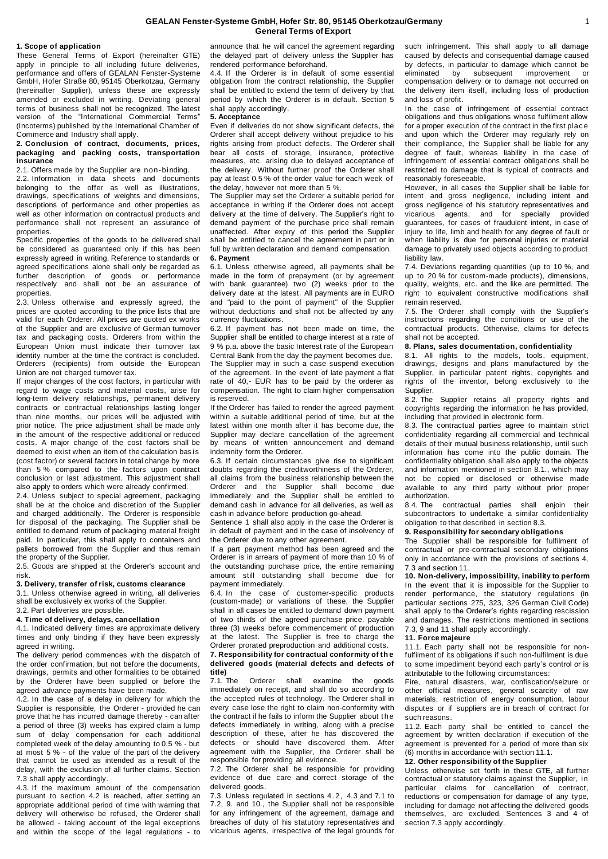#### **GEALAN Fenster-Systeme GmbH, Hofer Str. 80, 95145 Oberkotzau/Germany General Terms of Export**

#### **1. Scope of application**

These General Terms of Export (hereinafter GTE) apply in principle to all including future deliveries, performance and offers of GEALAN Fenster-Systeme GmbH, Hofer Straße 80, 95145 Oberkotzau, Germany (hereinafter Supplier), unless these are expressly amended or excluded in writing. Deviating general terms of business shall not be recognized. The latest version of the "International Commercial Terms" (Incoterms) published by the International Chamber of Commerce and Industry shall apply.

### **2. Conclusion of contract, documents, prices, packaging and packing costs, transportation insurance**

2.1. Offers made by the Supplier are non-binding. 2.2. Information in data sheets and documents belonging to the offer as well as illustrations, drawings, specifications of weights and dimensions, descriptions of performance and other properties as well as other information on contractual products and performance shall not represent an assurance of properties.

Specific properties of the goods to be delivered shall be considered as guaranteed only if this has been expressly agreed in writing. Reference to standards or agreed specifications alone shall only be regarded as further description of goods or performance respectively and shall not be an assurance of properties.

2.3. Unless otherwise and expressly agreed, the prices are quoted according to the price lists that are valid for each Orderer. All prices are quoted ex works of the Supplier and are exclusive of German turnover tax and packaging costs. Orderers from within the European Union must indicate their turnover tax identity number at the time the contract is concluded. Orderers (recipients) from outside the European Union are not charged turnover tax.

If major changes of the cost factors, in particular with regard to wage costs and material costs, arise for long-term delivery relationships, permanent delivery contracts or contractual relationships lasting longer than nine months, our prices will be adjusted with prior notice. The price adjustment shall be made only in the amount of the respective additional or reduced costs. A major change of the cost factors shall be deemed to exist when an item of the calculation bas is (cost factor) or several factors in total change by more than 5 % compared to the factors upon contract conclusion or last adjustment. This adjustment shall also apply to orders which were already confirmed.

2.4. Unless subject to special agreement, packaging shall be at the choice and discretion of the Supplier and charged additionally. The Orderer is responsible for disposal of the packaging. The Supplier shall be entitled to demand return of packaging material freight paid. In particular, this shall apply to containers and pallets borrowed from the Supplier and thus remain the property of the Supplier.

2.5. Goods are shipped at the Orderer's account and risk.

### **3. Delivery, transfer of risk, customs clearance**

3.1. Unless otherwise agreed in writing, all deliveries shall be exclusively ex works of the Supplier. 3.2. Part deliveries are possible.

# **4. Time of delivery, delays, cancellation**

4.1. Indicated delivery times are approximate delivery times and only binding if they have been expressly agreed in writing.

The delivery period commences with the dispatch of the order confirmation, but not before the documents, drawings, permits and other formalities to be obtained by the Orderer have been supplied or before the agreed advance payments have been made.

4.2. In the case of a delay in delivery for which the Supplier is responsible, the Orderer - provided he can prove that he has incurred damage thereby - can after a period of three (3) weeks has expired claim a lump sum of delay compensation for each additional completed week of the delay amounting to 0.5 % - but at most 5 % - of the value of the part of the delivery that cannot be used as intended as a result of the delay, with the exclusion of all further claims. Section 7.3 shall apply accordingly.

4.3. If the maximum amount of the compensation pursuant to section 4.2 is reached, after setting an appropriate additional period of time with warning that delivery will otherwise be refused, the Orderer shall be allowed - taking account of the legal exceptions and within the scope of the legal regulations - to

announce that he will cancel the agreement regarding the delayed part of delivery unless the Supplier has rendered performance beforehand.

4.4. If the Orderer is in default of some essential obligation from the contract relationship, the Supplier shall be entitled to extend the term of delivery by that period by which the Orderer is in default. Section 5 shall apply accordingly.

# **5. Acceptance**

Even if deliveries do not show significant defects, the Orderer shall accept delivery without prejudice to his rights arising from product defects. The Orderer shall bear all costs of storage, insurance, protective measures, etc. arising due to delayed acceptance of the delivery. Without further proof the Orderer shall pay at least 0.5 % of the order value for each week of the delay, however not more than 5 %.

The Supplier may set the Orderer a suitable period for acceptance in writing if the Orderer does not accept delivery at the time of delivery. The Supplier's right to demand payment of the purchase price shall remain unaffected. After expiry of this period the Supplier shall be entitled to cancel the agreement in part or in full by written declaration and demand compensation. **6. Payment**

6.1. Unless otherwise agreed, all payments shall be made in the form of prepayment (or by agreement with bank guarantee) two (2) weeks prior to the delivery date at the latest. All payments are in EURO and "paid to the point of payment" of the Supplier without deductions and shall not be affected by any currency fluctuations.

6.2. If payment has not been made on time, the Supplier shall be entitled to charge interest at a rate of 9 % p.a. above the basic Interest rate of the European Central Bank from the day the payment becomes due. The Supplier may in such a case suspend execution of the agreement. In the event of late payment a flat rate of 40,- EUR has to be paid by the orderer as compensation. The right to claim higher compensation is reserved.

If the Orderer has failed to render the agreed payment within a suitable additional period of time, but at the latest within one month after it has become due, the Supplier may declare cancellation of the agreement by means of written announcement and demand indemnity form the Orderer.

6.3. If certain circumstances give rise to significant doubts regarding the creditworthiness of the Orderer, all claims from the business relationship between the Orderer and the Supplier shall become due immediately and the Supplier shall be entitled to demand cash in advance for all deliveries, as well as cash in advance before production go-ahead.

Sentence 1 shall also apply in the case the Orderer is in default of payment and in the case of insolvency of the Orderer due to any other agreement.

If a part payment method has been agreed and the Orderer is in arrears of payment of more than 10 % of the outstanding purchase price, the entire remaining amount still outstanding shall become due for payment immediately.

6.4. In the case of customer-specific products (custom-made) or variations of these, the Supplier shall in all cases be entitled to demand down payment of two thirds of the agreed purchase price, payable three (3) weeks before commencement of production at the latest. The Supplier is free to charge the Orderer prorated preproduction and additional costs.

# **7. Responsibility for contractual conformity of th e delivered goods (material defects and defects of title)**

Orderer shall examine the goods immediately on receipt, and shall do so according to the accepted rules of technology. The Orderer shall in every case lose the right to claim non-conformity with the contract if he fails to inform the Supplier about t he defects immediately in writing, along with a precise description of these, after he has discovered the defects or should have discovered them. After agreement with the Supplier, the Orderer shall be responsible for providing all evidence.

7.2. The Orderer shall be responsible for providing evidence of due care and correct storage of the delivered goods.

7.3. Unless regulated in sections 4. 2, 4.3 and 7.1 to 7.2, 9. and 10., the Supplier shall not be responsible for any infringement of the agreement, damage and breaches of duty of his statutory representatives and vicarious agents, irrespective of the legal grounds for such infringement. This shall apply to all damage caused by defects and consequential damage caused by defects, in particular to damage which cannot be eliminated by subsequent improvement or eliminated by subsequent improvement or compensation delivery or to damage not occurred on the delivery item itself, including loss of production and loss of profit.

In the case of infringement of essential contract obligations and thus obligations whose fulfilment allow for a proper execution of the contract in the first plac e and upon which the Orderer may regularly rely on their compliance, the Supplier shall be liable for any degree of fault, whereas liability in the case of infringement of essential contract obligations shall be restricted to damage that is typical of contracts and reasonably foreseeable.

However, in all cases the Supplier shall be liable for intent and gross negligence, including intent and gross negligence of his statutory representatives and vicarious agents, and for specially provided guarantees, for cases of fraudulent intent, in case of injury to life, limb and health for any degree of fault or when liability is due for personal injuries or material damage to privately used objects according to product liability law.

7.4. Deviations regarding quantities (up to 10 %, and up to 20 % for custom-made products), dimensions, quality, weights, etc. and the like are permitted. The right to equivalent constructive modifications shall remain reserved.

7.5. The Orderer shall comply with the Supplier's instructions regarding the conditions or use of the contractual products. Otherwise, claims for defects shall not be accepted.

## **8. Plans, sales documentation, confidentiality**

8.1. All rights to the models, tools, equipment, drawings, designs and plans manufactured by the Supplier, in particular patent rights, copyrights and rights of the inventor, belong exclusively to the Supplier.

8.2. The Supplier retains all property rights and copyrights regarding the information he has provided, including that provided in electronic form.

8.3. The contractual parties agree to maintain strict confidentiality regarding all commercial and technical details of their mutual business relationship, until such information has come into the public domain. The confidentiality obligation shall also apply to the objects and information mentioned in section 8.1., which may not be copied or disclosed or otherwise made available to any third party without prior proper authorization.

8.4. The contractual parties shall enjoin their subcontractors to undertake a similar confidentiality obligation to that described in section 8.3.

#### **9. Responsibility for secondary obligations**

The Supplier shall be responsible for fulfilment of contractual or pre-contractual secondary obligations only in accordance with the provisions of sections 4, 7.3 and section 11.

**10. Non-delivery, impossibility, inability to perform** In the event that it is impossible for the Supplier to render performance, the statutory regulations (in particular sections 275, 323, 326 German Civil Code) shall apply to the Orderer's rights regarding rescission and damages. The restrictions mentioned in sections 7.3, 9 and 11 shall apply accordingly.

#### **11. Force majeure**

11.1. Each party shall not be responsible for nonfulfilment of its obligations if such non-fulfilment is due to some impediment beyond each party's control or is attributable to the following circumstances:

Fire, natural disasters, war, confiscation/seizure or other official measures, general scarcity of raw materials, restriction of energy consumption, labour disputes or if suppliers are in breach of contract for such reasons.

11.2. Each party shall be entitled to cancel the agreement by written declaration if execution of the agreement is prevented for a period of more than six (6) months in accordance with section 11.1.

## **12. Other responsibility of the Supplier**

Unless otherwise set forth in these GTE, all further contractual or statutory claims against the Supplier, in particular claims for cancellation of contract, reductions or compensation for damage of any type, including for damage not affecting the delivered goods themselves, are excluded. Sentences 3 and 4 of section 7.3 apply accordingly.